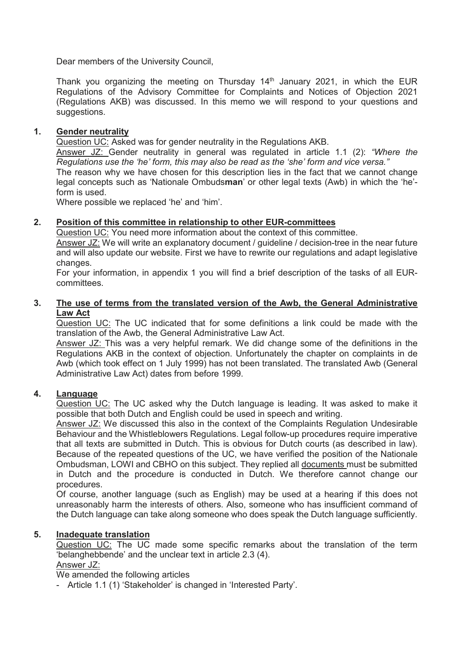Dear members of the University Council,

Thank you organizing the meeting on Thursday  $14<sup>th</sup>$  January 2021, in which the EUR Regulations of the Advisory Committee for Complaints and Notices of Objection 2021 (Regulations AKB) was discussed. In this memo we will respond to your questions and suggestions.

## **1. Gender neutrality**

Question UC: Asked was for gender neutrality in the Regulations AKB.

Answer JZ: Gender neutrality in general was regulated in article 1.1 (2): *"Where the Regulations use the 'he' form, this may also be read as the 'she' form and vice versa."*

The reason why we have chosen for this description lies in the fact that we cannot change legal concepts such as 'Nationale Ombuds**man**' or other legal texts (Awb) in which the 'he' form is used.

Where possible we replaced 'he' and 'him'.

## **2. Position of this committee in relationship to other EUR-committees**

Question UC: You need more information about the context of this committee.

Answer JZ: We will write an explanatory document / guideline / decision-tree in the near future and will also update our website. First we have to rewrite our regulations and adapt legislative changes.

For your information, in appendix 1 you will find a brief description of the tasks of all EURcommittees.

## **3. The use of terms from the translated version of the Awb, the General Administrative Law Act**

Question UC: The UC indicated that for some definitions a link could be made with the translation of the Awb, the General Administrative Law Act.

Answer JZ: This was a very helpful remark. We did change some of the definitions in the Regulations AKB in the context of objection. Unfortunately the chapter on complaints in de Awb (which took effect on 1 July 1999) has not been translated. The translated Awb (General Administrative Law Act) dates from before 1999.

# **4. Language**

Question UC: The UC asked why the Dutch language is leading. It was asked to make it possible that both Dutch and English could be used in speech and writing.

Answer JZ: We discussed this also in the context of the Complaints Regulation Undesirable Behaviour and the Whistleblowers Regulations. Legal follow-up procedures require imperative that all texts are submitted in Dutch. This is obvious for Dutch courts (as described in law). Because of the repeated questions of the UC, we have verified the position of the Nationale Ombudsman, LOWI and CBHO on this subject. They replied all documents must be submitted in Dutch and the procedure is conducted in Dutch. We therefore cannot change our procedures.

Of course, another language (such as English) may be used at a hearing if this does not unreasonably harm the interests of others. Also, someone who has insufficient command of the Dutch language can take along someone who does speak the Dutch language sufficiently.

## **5. Inadequate translation**

Question UC: The UC made some specific remarks about the translation of the term 'belanghebbende' and the unclear text in article 2.3 (4). Answer JZ:

We amended the following articles

- Article 1.1 (1) 'Stakeholder' is changed in 'Interested Party'.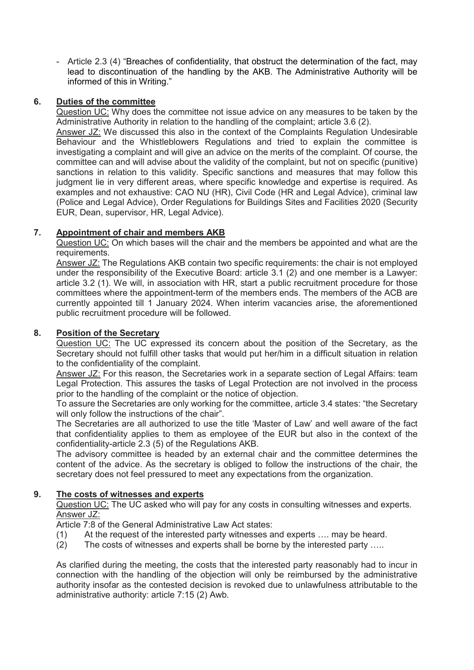- Article 2.3 (4) "Breaches of confidentiality, that obstruct the determination of the fact, may lead to discontinuation of the handling by the AKB. The Administrative Authority will be informed of this in Writing."

## **6. Duties of the committee**

Question UC: Why does the committee not issue advice on any measures to be taken by the Administrative Authority in relation to the handling of the complaint; article 3.6 (2).

Answer JZ: We discussed this also in the context of the Complaints Regulation Undesirable Behaviour and the Whistleblowers Regulations and tried to explain the committee is investigating a complaint and will give an advice on the merits of the complaint. Of course, the committee can and will advise about the validity of the complaint, but not on specific (punitive) sanctions in relation to this validity. Specific sanctions and measures that may follow this judgment lie in very different areas, where specific knowledge and expertise is required. As examples and not exhaustive: CAO NU (HR), Civil Code (HR and Legal Advice), criminal law (Police and Legal Advice), Order Regulations for Buildings Sites and Facilities 2020 (Security EUR, Dean, supervisor, HR, Legal Advice).

## **7. Appointment of chair and members AKB**

Question UC: On which bases will the chair and the members be appointed and what are the requirements.

Answer JZ: The Regulations AKB contain two specific requirements: the chair is not employed under the responsibility of the Executive Board: article 3.1 (2) and one member is a Lawyer: article 3.2 (1). We will, in association with HR, start a public recruitment procedure for those committees where the appointment-term of the members ends. The members of the ACB are currently appointed till 1 January 2024. When interim vacancies arise, the aforementioned public recruitment procedure will be followed.

## **8. Position of the Secretary**

Question UC: The UC expressed its concern about the position of the Secretary, as the Secretary should not fulfill other tasks that would put her/him in a difficult situation in relation to the confidentiality of the complaint.

Answer JZ: For this reason, the Secretaries work in a separate section of Legal Affairs: team Legal Protection. This assures the tasks of Legal Protection are not involved in the process prior to the handling of the complaint or the notice of objection.

To assure the Secretaries are only working for the committee, article 3.4 states: "the Secretary will only follow the instructions of the chair".

The Secretaries are all authorized to use the title 'Master of Law' and well aware of the fact that confidentiality applies to them as employee of the EUR but also in the context of the confidentiality-article 2.3 (5) of the Regulations AKB.

The advisory committee is headed by an external chair and the committee determines the content of the advice. As the secretary is obliged to follow the instructions of the chair, the secretary does not feel pressured to meet any expectations from the organization.

## **9. The costs of witnesses and experts**

Question UC: The UC asked who will pay for any costs in consulting witnesses and experts. Answer JZ:

Article 7:8 of the General Administrative Law Act states:

- (1) At the request of the interested party witnesses and experts …. may be heard.
- (2) The costs of witnesses and experts shall be borne by the interested party …..

As clarified during the meeting, the costs that the interested party reasonably had to incur in connection with the handling of the objection will only be reimbursed by the administrative authority insofar as the contested decision is revoked due to unlawfulness attributable to the administrative authority: article 7:15 (2) Awb.